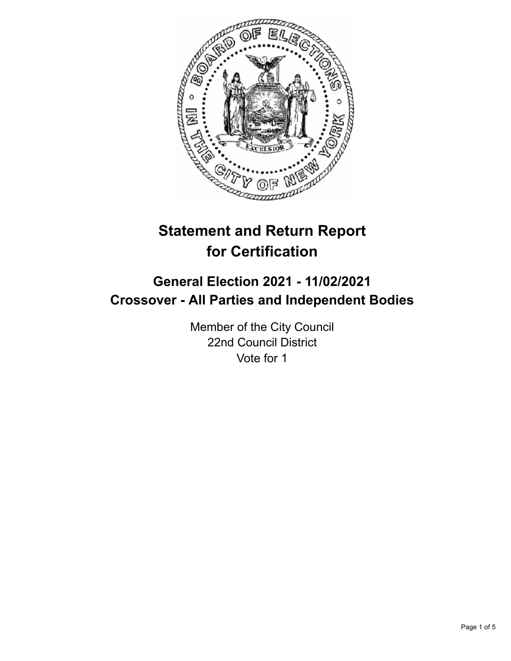

# **Statement and Return Report for Certification**

## **General Election 2021 - 11/02/2021 Crossover - All Parties and Independent Bodies**

Member of the City Council 22nd Council District Vote for 1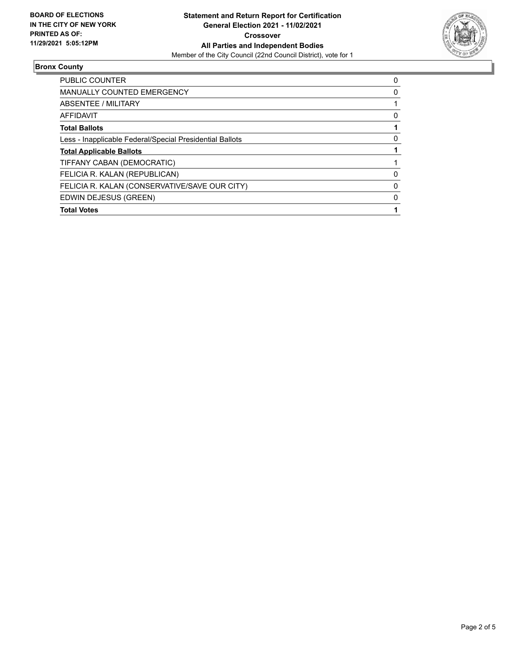

#### **Bronx County**

| <b>PUBLIC COUNTER</b>                                    | 0 |
|----------------------------------------------------------|---|
| <b>MANUALLY COUNTED EMERGENCY</b>                        | 0 |
| ABSENTEE / MILITARY                                      |   |
| AFFIDAVIT                                                | 0 |
| <b>Total Ballots</b>                                     |   |
| Less - Inapplicable Federal/Special Presidential Ballots | 0 |
| <b>Total Applicable Ballots</b>                          |   |
| TIFFANY CABAN (DEMOCRATIC)                               |   |
| FELICIA R. KALAN (REPUBLICAN)                            | 0 |
| FELICIA R. KALAN (CONSERVATIVE/SAVE OUR CITY)            | 0 |
| EDWIN DEJESUS (GREEN)                                    | 0 |
| <b>Total Votes</b>                                       |   |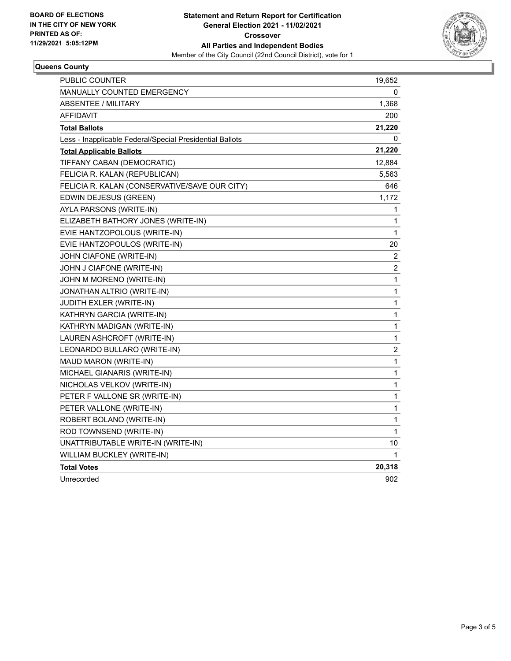

#### **Queens County**

| PUBLIC COUNTER                                           | 19,652                  |
|----------------------------------------------------------|-------------------------|
| <b>MANUALLY COUNTED EMERGENCY</b>                        | 0                       |
| <b>ABSENTEE / MILITARY</b>                               | 1,368                   |
| AFFIDAVIT                                                | 200                     |
| <b>Total Ballots</b>                                     | 21,220                  |
| Less - Inapplicable Federal/Special Presidential Ballots | 0                       |
| <b>Total Applicable Ballots</b>                          | 21,220                  |
| TIFFANY CABAN (DEMOCRATIC)                               | 12,884                  |
| FELICIA R. KALAN (REPUBLICAN)                            | 5,563                   |
| FELICIA R. KALAN (CONSERVATIVE/SAVE OUR CITY)            | 646                     |
| EDWIN DEJESUS (GREEN)                                    | 1,172                   |
| AYLA PARSONS (WRITE-IN)                                  | 1                       |
| ELIZABETH BATHORY JONES (WRITE-IN)                       | 1                       |
| EVIE HANTZOPOLOUS (WRITE-IN)                             | 1                       |
| EVIE HANTZOPOULOS (WRITE-IN)                             | 20                      |
| JOHN CIAFONE (WRITE-IN)                                  | $\overline{c}$          |
| JOHN J CIAFONE (WRITE-IN)                                | $\overline{\mathbf{c}}$ |
| JOHN M MORENO (WRITE-IN)                                 | 1                       |
| JONATHAN ALTRIO (WRITE-IN)                               | 1                       |
| JUDITH EXLER (WRITE-IN)                                  | 1                       |
| KATHRYN GARCIA (WRITE-IN)                                | 1                       |
| KATHRYN MADIGAN (WRITE-IN)                               | $\mathbf{1}$            |
| LAUREN ASHCROFT (WRITE-IN)                               | $\mathbf{1}$            |
| LEONARDO BULLARO (WRITE-IN)                              | $\overline{\mathbf{c}}$ |
| MAUD MARON (WRITE-IN)                                    | 1                       |
| MICHAEL GIANARIS (WRITE-IN)                              | 1                       |
| NICHOLAS VELKOV (WRITE-IN)                               | 1                       |
| PETER F VALLONE SR (WRITE-IN)                            | 1                       |
| PETER VALLONE (WRITE-IN)                                 | 1                       |
| ROBERT BOLANO (WRITE-IN)                                 | 1                       |
| ROD TOWNSEND (WRITE-IN)                                  | 1                       |
| UNATTRIBUTABLE WRITE-IN (WRITE-IN)                       | 10                      |
| WILLIAM BUCKLEY (WRITE-IN)                               | 1                       |
| <b>Total Votes</b>                                       | 20,318                  |
| Unrecorded                                               | 902                     |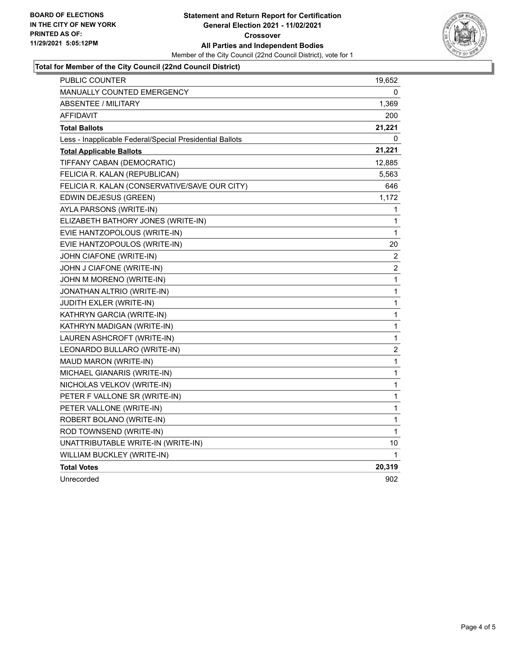

#### **Total for Member of the City Council (22nd Council District)**

| PUBLIC COUNTER                                           | 19,652           |
|----------------------------------------------------------|------------------|
| MANUALLY COUNTED EMERGENCY                               | 0                |
| ABSENTEE / MILITARY                                      | 1,369            |
| AFFIDAVIT                                                | 200              |
| <b>Total Ballots</b>                                     | 21,221           |
| Less - Inapplicable Federal/Special Presidential Ballots | 0                |
| <b>Total Applicable Ballots</b>                          | 21,221           |
| TIFFANY CABAN (DEMOCRATIC)                               | 12,885           |
| FELICIA R. KALAN (REPUBLICAN)                            | 5,563            |
| FELICIA R. KALAN (CONSERVATIVE/SAVE OUR CITY)            | 646              |
| EDWIN DEJESUS (GREEN)                                    | 1,172            |
| AYLA PARSONS (WRITE-IN)                                  | 1                |
| ELIZABETH BATHORY JONES (WRITE-IN)                       | 1                |
| EVIE HANTZOPOLOUS (WRITE-IN)                             | 1                |
| EVIE HANTZOPOULOS (WRITE-IN)                             | 20               |
| JOHN CIAFONE (WRITE-IN)                                  | 2                |
| JOHN J CIAFONE (WRITE-IN)                                | 2                |
| JOHN M MORENO (WRITE-IN)                                 | 1                |
| JONATHAN ALTRIO (WRITE-IN)                               | 1                |
| JUDITH EXLER (WRITE-IN)                                  | 1                |
| KATHRYN GARCIA (WRITE-IN)                                | 1                |
| KATHRYN MADIGAN (WRITE-IN)                               | 1                |
| LAUREN ASHCROFT (WRITE-IN)                               | 1                |
| LEONARDO BULLARO (WRITE-IN)                              | $\boldsymbol{2}$ |
| MAUD MARON (WRITE-IN)                                    | 1                |
| MICHAEL GIANARIS (WRITE-IN)                              | 1                |
| NICHOLAS VELKOV (WRITE-IN)                               | 1                |
| PETER F VALLONE SR (WRITE-IN)                            | 1                |
| PETER VALLONE (WRITE-IN)                                 | 1                |
| ROBERT BOLANO (WRITE-IN)                                 | 1                |
| ROD TOWNSEND (WRITE-IN)                                  | $\mathbf{1}$     |
| UNATTRIBUTABLE WRITE-IN (WRITE-IN)                       | 10               |
| WILLIAM BUCKLEY (WRITE-IN)                               | 1                |
| <b>Total Votes</b>                                       | 20,319           |
| Unrecorded                                               | 902              |